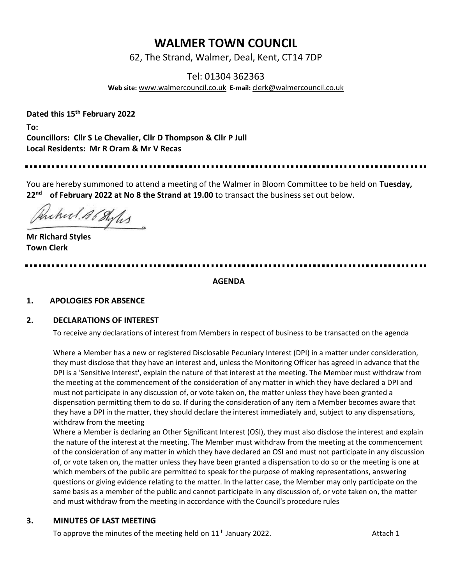# **WALMER TOWN COUNCIL**

62, The Strand, Walmer, Deal, Kent, CT14 7DP

Tel: 01304 362363

**Web site:** [www.walmercouncil.co.uk](http://www.walmercouncil.co.uk/) **E-mail:** [clerk@walmercouncil.co.uk](mailto:clerk@walmercouncil.co.uk)

**Dated this 15th February 2022**

**To: Councillors: Cllr S Le Chevalier, Cllr D Thompson & Cllr P Jull Local Residents: Mr R Oram & Mr V Recas**

You are hereby summoned to attend a meeting of the Walmer in Bloom Committee to be held on **Tuesday, 22nd of February 2022 at No 8 the Strand at 19.00** to transact the business set out below.

Puched Al Styles

**Mr Richard Styles Town Clerk** 

**AGENDA**

## **1. APOLOGIES FOR ABSENCE**

#### **2. DECLARATIONS OF INTEREST**

To receive any declarations of interest from Members in respect of business to be transacted on the agenda

Where a Member has a new or registered Disclosable Pecuniary Interest (DPI) in a matter under consideration, they must disclose that they have an interest and, unless the Monitoring Officer has agreed in advance that the DPI is a 'Sensitive Interest', explain the nature of that interest at the meeting. The Member must withdraw from the meeting at the commencement of the consideration of any matter in which they have declared a DPI and must not participate in any discussion of, or vote taken on, the matter unless they have been granted a dispensation permitting them to do so. If during the consideration of any item a Member becomes aware that they have a DPI in the matter, they should declare the interest immediately and, subject to any dispensations, withdraw from the meeting

Where a Member is declaring an Other Significant Interest (OSI), they must also disclose the interest and explain the nature of the interest at the meeting. The Member must withdraw from the meeting at the commencement of the consideration of any matter in which they have declared an OSI and must not participate in any discussion of, or vote taken on, the matter unless they have been granted a dispensation to do so or the meeting is one at which members of the public are permitted to speak for the purpose of making representations, answering questions or giving evidence relating to the matter. In the latter case, the Member may only participate on the same basis as a member of the public and cannot participate in any discussion of, or vote taken on, the matter and must withdraw from the meeting in accordance with the Council's procedure rules

#### **3. MINUTES OF LAST MEETING**

To approve the minutes of the meeting held on  $11<sup>th</sup>$  January 2022. Attach 1